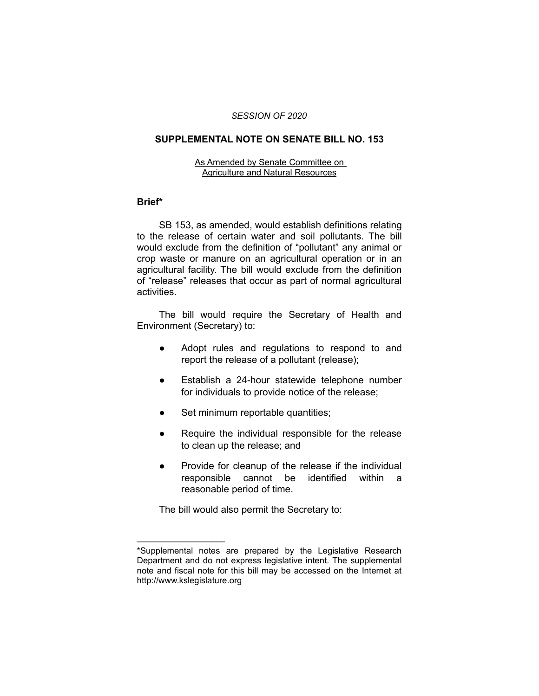#### *SESSION OF 2020*

# **SUPPLEMENTAL NOTE ON SENATE BILL NO. 153**

## As Amended by Senate Committee on Agriculture and Natural Resources

# **Brief\***

SB 153, as amended, would establish definitions relating to the release of certain water and soil pollutants. The bill would exclude from the definition of "pollutant" any animal or crop waste or manure on an agricultural operation or in an agricultural facility. The bill would exclude from the definition of "release" releases that occur as part of normal agricultural activities.

The bill would require the Secretary of Health and Environment (Secretary) to:

- Adopt rules and regulations to respond to and report the release of a pollutant (release);
- Establish a 24-hour statewide telephone number for individuals to provide notice of the release;
- Set minimum reportable quantities;
- Require the individual responsible for the release to clean up the release; and
- Provide for cleanup of the release if the individual responsible cannot be identified within a reasonable period of time.

The bill would also permit the Secretary to:

 $\overline{\phantom{a}}$  , where  $\overline{\phantom{a}}$  , where  $\overline{\phantom{a}}$ 

<sup>\*</sup>Supplemental notes are prepared by the Legislative Research Department and do not express legislative intent. The supplemental note and fiscal note for this bill may be accessed on the Internet at http://www.kslegislature.org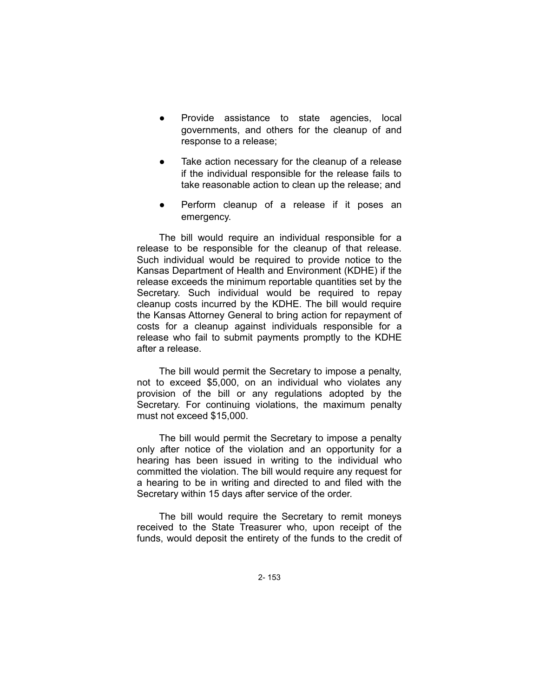- Provide assistance to state agencies, local governments, and others for the cleanup of and response to a release;
- Take action necessary for the cleanup of a release if the individual responsible for the release fails to take reasonable action to clean up the release; and
- Perform cleanup of a release if it poses an emergency.

The bill would require an individual responsible for a release to be responsible for the cleanup of that release. Such individual would be required to provide notice to the Kansas Department of Health and Environment (KDHE) if the release exceeds the minimum reportable quantities set by the Secretary. Such individual would be required to repay cleanup costs incurred by the KDHE. The bill would require the Kansas Attorney General to bring action for repayment of costs for a cleanup against individuals responsible for a release who fail to submit payments promptly to the KDHE after a release.

The bill would permit the Secretary to impose a penalty, not to exceed \$5,000, on an individual who violates any provision of the bill or any regulations adopted by the Secretary. For continuing violations, the maximum penalty must not exceed \$15,000.

The bill would permit the Secretary to impose a penalty only after notice of the violation and an opportunity for a hearing has been issued in writing to the individual who committed the violation. The bill would require any request for a hearing to be in writing and directed to and filed with the Secretary within 15 days after service of the order.

The bill would require the Secretary to remit moneys received to the State Treasurer who, upon receipt of the funds, would deposit the entirety of the funds to the credit of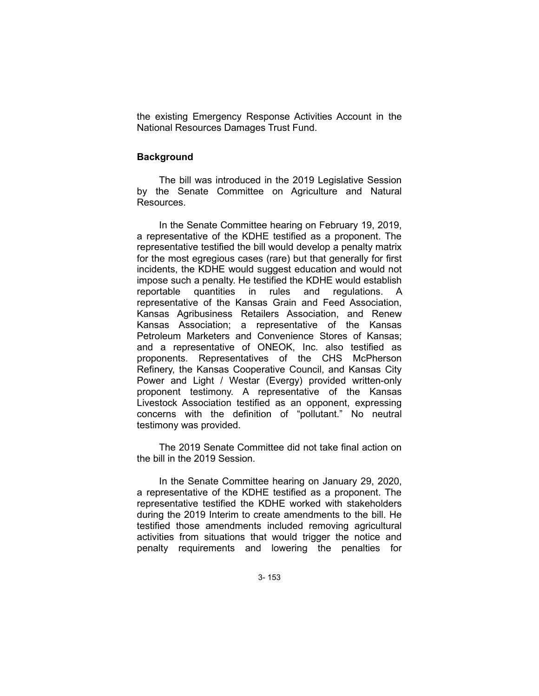the existing Emergency Response Activities Account in the National Resources Damages Trust Fund.

#### **Background**

The bill was introduced in the 2019 Legislative Session by the Senate Committee on Agriculture and Natural Resources.

In the Senate Committee hearing on February 19, 2019, a representative of the KDHE testified as a proponent. The representative testified the bill would develop a penalty matrix for the most egregious cases (rare) but that generally for first incidents, the KDHE would suggest education and would not impose such a penalty. He testified the KDHE would establish reportable quantities in rules and regulations. A representative of the Kansas Grain and Feed Association, Kansas Agribusiness Retailers Association, and Renew Kansas Association; a representative of the Kansas Petroleum Marketers and Convenience Stores of Kansas; and a representative of ONEOK, Inc. also testified as proponents. Representatives of the CHS McPherson Refinery, the Kansas Cooperative Council, and Kansas City Power and Light / Westar (Evergy) provided written-only proponent testimony. A representative of the Kansas Livestock Association testified as an opponent, expressing concerns with the definition of "pollutant." No neutral testimony was provided.

The 2019 Senate Committee did not take final action on the bill in the 2019 Session.

In the Senate Committee hearing on January 29, 2020, a representative of the KDHE testified as a proponent. The representative testified the KDHE worked with stakeholders during the 2019 Interim to create amendments to the bill. He testified those amendments included removing agricultural activities from situations that would trigger the notice and penalty requirements and lowering the penalties for